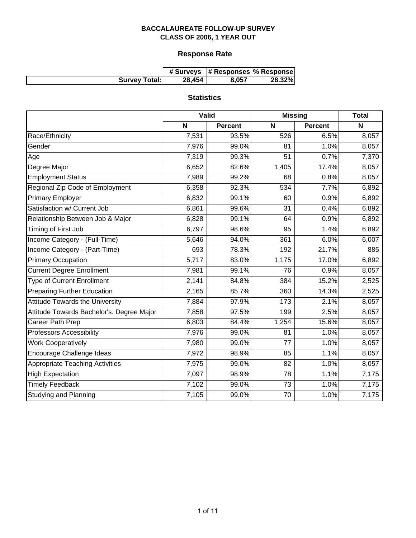# **Response Rate**

|                      |        | # Surveys  # Responses  % Response |        |
|----------------------|--------|------------------------------------|--------|
| <b>Survey Total:</b> | 28,454 | 8.057                              | 28.32% |

# **Statistics**

|                                           | Valid |                | <b>Missing</b> |                | <b>Total</b> |
|-------------------------------------------|-------|----------------|----------------|----------------|--------------|
|                                           | N     | <b>Percent</b> | N              | <b>Percent</b> | N            |
| Race/Ethnicity                            | 7,531 | 93.5%          | 526            | 6.5%           | 8,057        |
| Gender                                    | 7,976 | 99.0%          | 81             | 1.0%           | 8,057        |
| Age                                       | 7,319 | 99.3%          | 51             | 0.7%           | 7,370        |
| Degree Major                              | 6,652 | 82.6%          | 1,405          | 17.4%          | 8,057        |
| <b>Employment Status</b>                  | 7,989 | 99.2%          | 68             | 0.8%           | 8,057        |
| Regional Zip Code of Employment           | 6,358 | 92.3%          | 534            | 7.7%           | 6,892        |
| <b>Primary Employer</b>                   | 6,832 | 99.1%          | 60             | 0.9%           | 6,892        |
| Satisfaction w/ Current Job               | 6,861 | 99.6%          | 31             | 0.4%           | 6,892        |
| Relationship Between Job & Major          | 6,828 | 99.1%          | 64             | 0.9%           | 6,892        |
| Timing of First Job                       | 6,797 | 98.6%          | 95             | 1.4%           | 6,892        |
| Income Category - (Full-Time)             | 5,646 | 94.0%          | 361            | 6.0%           | 6,007        |
| Income Category - (Part-Time)             | 693   | 78.3%          | 192            | 21.7%          | 885          |
| <b>Primary Occupation</b>                 | 5,717 | 83.0%          | 1,175          | 17.0%          | 6,892        |
| <b>Current Degree Enrollment</b>          | 7,981 | 99.1%          | 76             | 0.9%           | 8,057        |
| <b>Type of Current Enrollment</b>         | 2,141 | 84.8%          | 384            | 15.2%          | 2,525        |
| <b>Preparing Further Education</b>        | 2,165 | 85.7%          | 360            | 14.3%          | 2,525        |
| <b>Attitude Towards the University</b>    | 7,884 | 97.9%          | 173            | 2.1%           | 8,057        |
| Attitude Towards Bachelor's. Degree Major | 7,858 | 97.5%          | 199            | 2.5%           | 8,057        |
| Career Path Prep                          | 6,803 | 84.4%          | 1,254          | 15.6%          | 8,057        |
| <b>Professors Accessibility</b>           | 7,976 | 99.0%          | 81             | 1.0%           | 8,057        |
| <b>Work Cooperatively</b>                 | 7,980 | 99.0%          | 77             | 1.0%           | 8,057        |
| Encourage Challenge Ideas                 | 7,972 | 98.9%          | 85             | 1.1%           | 8,057        |
| <b>Appropriate Teaching Activities</b>    | 7,975 | 99.0%          | 82             | 1.0%           | 8,057        |
| <b>High Expectation</b>                   | 7,097 | 98.9%          | 78             | 1.1%           | 7,175        |
| <b>Timely Feedback</b>                    | 7,102 | 99.0%          | 73             | 1.0%           | 7,175        |
| <b>Studying and Planning</b>              | 7,105 | 99.0%          | 70             | 1.0%           | 7,175        |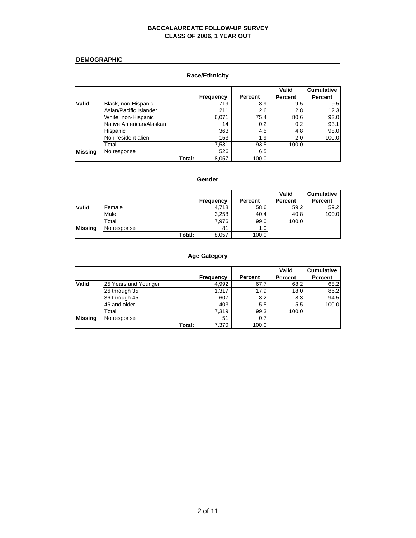#### **DEMOGRAPHIC**

# **Race/Ethnicity**

|              |                         |                  |                | Valid   | <b>Cumulative</b> |
|--------------|-------------------------|------------------|----------------|---------|-------------------|
|              |                         | <b>Frequency</b> | <b>Percent</b> | Percent | <b>Percent</b>    |
| <b>Valid</b> | Black, non-Hispanic     | 719              | 8.9            | 9.5     | 9.5               |
|              | Asian/Pacific Islander  | 211              | 2.6            | 2.8     | 12.3              |
|              | White, non-Hispanic     | 6,071            | 75.4           | 80.6    | 93.0              |
|              | Native American/Alaskan | 14               | 0.2            | 0.2     | 93.1              |
|              | Hispanic                | 363              | 4.5            | 4.8     | 98.0              |
|              | Non-resident alien      | 153              | 1.9            | 2.0     | 100.0             |
|              | Total                   | 7,531            | 93.5           | 100.0   |                   |
| Missing      | No response             | 526              | 6.5            |         |                   |
|              | Total:I                 | 8,057            | 100.0          |         |                   |

#### **Gender**

|                |             |           |         | Valid          | <b>Cumulative</b> |
|----------------|-------------|-----------|---------|----------------|-------------------|
|                |             | Frequency | Percent | <b>Percent</b> | Percent           |
| <b>Valid</b>   | Female      | 4.718     | 58.6    | 59.2           | 59.2              |
|                | Male        | 3.258     | 40.4    | 40.8           | 100.0             |
|                | Total       | 7.976     | 99.0    | 100.0          |                   |
| <b>Missing</b> | No response | 81        | 1.0     |                |                   |
|                | Total:I     | 8,057     | 100.0   |                |                   |

# **Age Category**

|                |                      |           |         | Valid          | <b>Cumulative</b> |
|----------------|----------------------|-----------|---------|----------------|-------------------|
|                |                      | Frequency | Percent | <b>Percent</b> | Percent           |
| <b>Valid</b>   | 25 Years and Younger | 4,992     | 67.7    | 68.2           | 68.2              |
|                | 26 through 35        | 1.317     | 17.9    | 18.0           | 86.2              |
|                | 36 through 45        | 607       | 8.2     | 8.3            | 94.5              |
|                | 46 and older         | 403       | 5.5     | 5.5            | 100.0             |
|                | Total                | 7.319     | 99.3    | 100.0          |                   |
| <b>Missing</b> | No response          | 51        | 0.7     |                |                   |
|                | Total:I              | 7,370     | 100.0   |                |                   |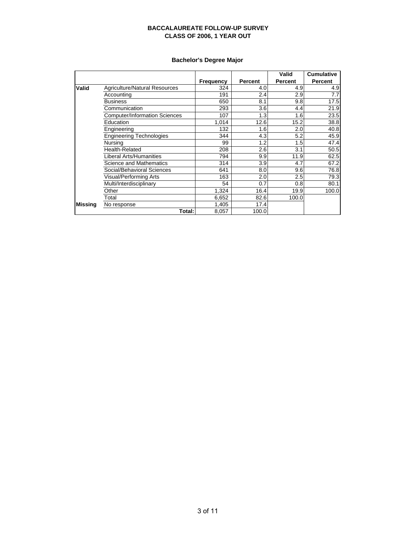# **Bachelor's Degree Major**

|         |                                      |                  |         | Valid          | <b>Cumulative</b> |
|---------|--------------------------------------|------------------|---------|----------------|-------------------|
|         |                                      | <b>Frequency</b> | Percent | <b>Percent</b> | <b>Percent</b>    |
| Valid   | Agriculture/Natural Resources        | 324              | 4.0     | 4.9            | 4.9               |
|         | Accounting                           | 191              | 2.4     | 2.9            | 7.7               |
|         | <b>Business</b>                      | 650              | 8.1     | 9.8            | 17.5              |
|         | Communication                        | 293              | 3.6     | 4.4            | 21.9              |
|         | <b>Computer/Information Sciences</b> | 107              | 1.3     | 1.6            | 23.5              |
|         | Education                            | 1,014            | 12.6    | 15.2           | 38.8              |
|         | Engineering                          | 132              | 1.6     | 2.0            | 40.8              |
|         | <b>Engineering Technologies</b>      | 344              | 4.3     | 5.2            | 45.9              |
|         | Nursina                              | 99               | 1.2     | 1.5            | 47.4              |
|         | <b>Health-Related</b>                | 208              | 2.6     | 3.1            | 50.5              |
|         | Liberal Arts/Humanities              | 794              | 9.9     | 11.9           | 62.5              |
|         | Science and Mathematics              | 314              | 3.9     | 4.7            | 67.2              |
|         | Social/Behavioral Sciences           | 641              | 8.0     | 9.6            | 76.8              |
|         | Visual/Performing Arts               | 163              | 2.0     | 2.5            | 79.3              |
|         | Multi/Interdisciplinary              | 54               | 0.7     | 0.8            | 80.1              |
|         | Other                                | 1,324            | 16.4    | 19.9           | 100.0             |
|         | Total                                | 6,652            | 82.6    | 100.0          |                   |
| Missina | No response                          | 1,405            | 17.4    |                |                   |
|         | Total:                               | 8,057            | 100.0   |                |                   |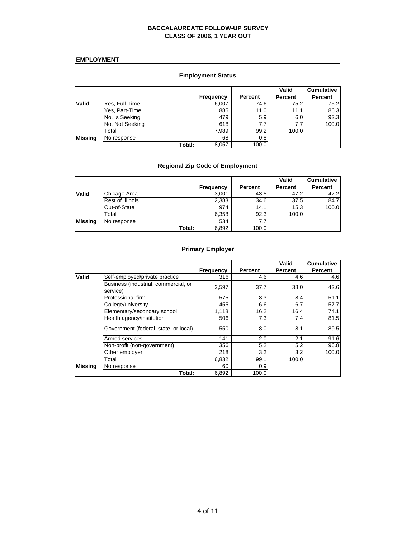#### **EMPLOYMENT**

# **Employment Status**

|                |                 |                  |                | Valid          | <b>Cumulative</b> |
|----------------|-----------------|------------------|----------------|----------------|-------------------|
|                |                 | <b>Frequency</b> | <b>Percent</b> | <b>Percent</b> | Percent           |
| <b>Valid</b>   | Yes, Full-Time  | 6,007            | 74.6           | 75.2           | 75.2              |
|                | Yes, Part-Time  | 885              | 11.0           | 11.1           | 86.3              |
|                | No, Is Seeking  | 479              | 5.9            | 6.0            | 92.3              |
|                | No, Not Seeking | 618              | 7.7            | 7.7            | 100.0             |
|                | Total           | 7,989            | 99.2           | 100.0          |                   |
| <b>Missing</b> | No response     | 68               | 0.8            |                |                   |
|                | Total:          | 8,057            | 100.0          |                |                   |

# **Regional Zip Code of Employment**

|                |                  |                  |         | Valid          | <b>Cumulative</b> |
|----------------|------------------|------------------|---------|----------------|-------------------|
|                |                  | <b>Frequency</b> | Percent | <b>Percent</b> | <b>Percent</b>    |
| <b>Valid</b>   | Chicago Area     | 3,001            | 43.5    | 47.2           | 47.2              |
|                | Rest of Illinois | 2,383            | 34.6    | 37.5           | 84.7              |
|                | Out-of-State     | 974              | 14.1    | 15.3           | 100.0             |
|                | Total            | 6,358            | 92.3    | 100.0          |                   |
| <b>Missing</b> | No response      | 534              | 7.7     |                |                   |
|                | Total:I          | 6,892            | 100.0   |                |                   |

# **Primary Employer**

|         |                                                  |                  |         | Valid          | <b>Cumulative</b> |
|---------|--------------------------------------------------|------------------|---------|----------------|-------------------|
|         |                                                  | <b>Frequency</b> | Percent | <b>Percent</b> | Percent           |
| Valid   | Self-employed/private practice                   | 316              | 4.6     | 4.6            | 4.6               |
|         | Business (industrial, commercial, or<br>service) | 2,597            | 37.7    | 38.0           | 42.6              |
|         | Professional firm                                | 575              | 8.3     | 8.4            | 51.1              |
|         | College/university                               | 455              | 6.6     | 6.7            | 57.7              |
|         | Elementary/secondary school                      | 1,118            | 16.2    | 16.4           | 74.1              |
|         | Health agency/institution                        | 506              | 7.3     | 7.4            | 81.5              |
|         | Government (federal, state, or local)            | 550              | 8.0     | 8.1            | 89.5              |
|         | Armed services                                   | 141              | 2.0     | 2.1            | 91.6              |
|         | Non-profit (non-government)                      | 356              | 5.2     | 5.2            | 96.8              |
|         | Other employer                                   | 218              | 3.2     | 3.2            | 100.0             |
|         | Total                                            | 6,832            | 99.1    | 100.0          |                   |
| Missing | No response                                      | 60               | 0.9     |                |                   |
|         | Total:                                           | 6,892            | 100.0   |                |                   |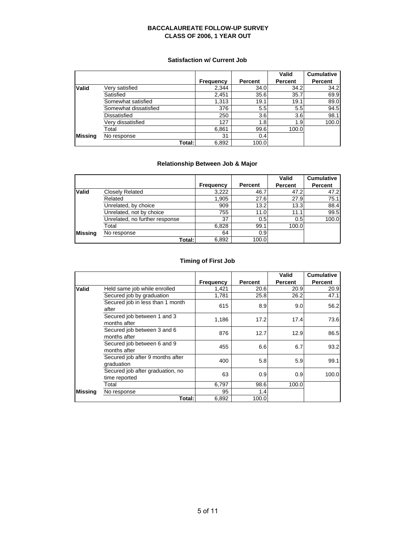#### **Satisfaction w/ Current Job**

|                |                       |                  |         | Valid          | <b>Cumulative</b> |
|----------------|-----------------------|------------------|---------|----------------|-------------------|
|                |                       | <b>Frequency</b> | Percent | <b>Percent</b> | <b>Percent</b>    |
| Valid          | Very satisfied        | 2,344            | 34.0    | 34.2           | 34.2              |
|                | Satisfied             | 2,451            | 35.6    | 35.7           | 69.9              |
|                | Somewhat satisfied    | 1,313            | 19.1    | 19.1           | 89.0              |
|                | Somewhat dissatisfied | 376              | 5.5     | 5.5            | 94.5              |
|                | <b>Dissatisfied</b>   | 250              | 3.6     | 3.6            | 98.1              |
|                | Very dissatisfied     | 127              | 1.8     | 1.9            | 100.0             |
|                | Total                 | 6,861            | 99.6    | 100.0          |                   |
| <b>Missing</b> | No response           | 31               | 0.4     |                |                   |
|                | Total:                | 6,892            | 100.0   |                |                   |

# **Relationship Between Job & Major**

|                |                                |                  |                | Valid          | <b>Cumulative</b> |
|----------------|--------------------------------|------------------|----------------|----------------|-------------------|
|                |                                | <b>Frequency</b> | <b>Percent</b> | <b>Percent</b> | Percent           |
| <b>Valid</b>   | Closely Related                | 3,222            | 46.7           | 47.2           | 47.2              |
|                | Related                        | 1,905            | 27.6           | 27.9           | 75.1              |
|                | Unrelated, by choice           | 909              | 13.2           | 13.3           | 88.4              |
|                | Unrelated, not by choice       | 755              | 11.0           | 11.1           | 99.5              |
|                | Unrelated, no further response | 37               | 0.5            | 0.5            | 100.0             |
|                | Total                          | 6,828            | 99.1           | 100.0          |                   |
| <b>Missing</b> | No response                    | 64               | 0.9            |                |                   |
|                | Total:                         | 6,892            | 100.0          |                |                   |

# **Timing of First Job**

|                |                                                   |           |                | Valid          | <b>Cumulative</b> |
|----------------|---------------------------------------------------|-----------|----------------|----------------|-------------------|
|                |                                                   | Frequency | <b>Percent</b> | <b>Percent</b> | <b>Percent</b>    |
| Valid          | Held same job while enrolled                      | 1,421     | 20.6           | 20.9           | 20.9              |
|                | Secured job by graduation                         | 1,781     | 25.8           | 26.2           | 47.1              |
|                | Secured job in less than 1 month<br>after         | 615       | 8.9            | 9.0            | 56.2              |
|                | Secured job between 1 and 3<br>months after       | 1.186     | 17.2           | 17.4           | 73.6              |
|                | Secured job between 3 and 6<br>months after       | 876       | 12.7           | 12.9           | 86.5              |
|                | Secured job between 6 and 9<br>months after       | 455       | 6.6            | 6.7            | 93.2              |
|                | Secured job after 9 months after<br>graduation    | 400       | 5.8            | 5.9            | 99.1              |
|                | Secured job after graduation, no<br>time reported | 63        | 0.9            | 0.9            | 100.0             |
|                | Total                                             | 6,797     | 98.6           | 100.0          |                   |
| <b>Missing</b> | No response                                       | 95        | 1.4            |                |                   |
|                | Total:I                                           | 6,892     | 100.0          |                |                   |